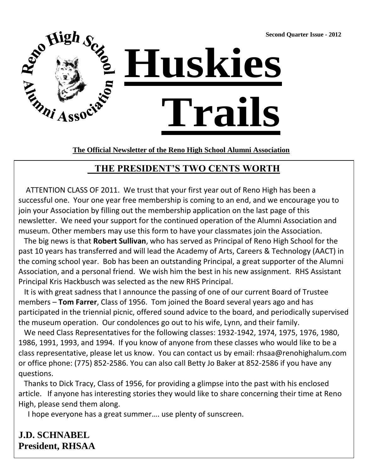**Second Quarter Issue - 2012**



**The Official Newsletter of the Reno High School Alumni Association**

## **THE PRESIDENT'S TWO CENTS WORTH**

 ATTENTION CLASS OF 2011. We trust that your first year out of Reno High has been a successful one. Your one year free membership is coming to an end, and we encourage you to join your Association by filling out the membership application on the last page of this newsletter. We need your support for the continued operation of the Alumni Association and museum. Other members may use this form to have your classmates join the Association.

 The big news is that **Robert Sullivan**, who has served as Principal of Reno High School for the past 10 years has transferred and will lead the Academy of Arts, Careers & Technology (AACT) in the coming school year. Bob has been an outstanding Principal, a great supporter of the Alumni Association, and a personal friend. We wish him the best in his new assignment. RHS Assistant Principal Kris Hackbusch was selected as the new RHS Principal.

 It is with great sadness that I announce the passing of one of our current Board of Trustee members – **Tom Farrer**, Class of 1956. Tom joined the Board several years ago and has participated in the triennial picnic, offered sound advice to the board, and periodically supervised the museum operation. Our condolences go out to his wife, Lynn, and their family.

 We need Class Representatives for the following classes: 1932-1942, 1974, 1975, 1976, 1980, 1986, 1991, 1993, and 1994. If you know of anyone from these classes who would like to be a class representative, please let us know. You can contact us by email: rhsaa@renohighalum.com or office phone: (775) 852-2586. You can also call Betty Jo Baker at 852-2586 if you have any questions.

 Thanks to Dick Tracy, Class of 1956, for providing a glimpse into the past with his enclosed article. If anyone has interesting stories they would like to share concerning their time at Reno High, please send them along.

I hope everyone has a great summer…. use plenty of sunscreen.

**J.D. SCHNABEL President, RHSAA**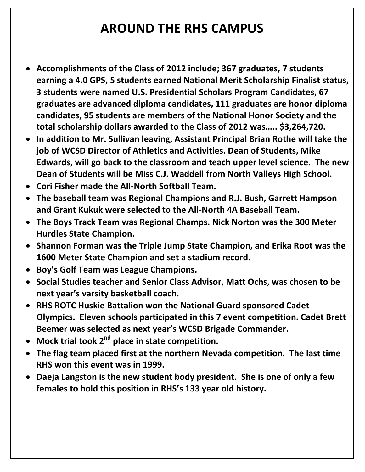# **AROUND THE RHS CAMPUS**

- **Accomplishments of the Class of 2012 include; 367 graduates, 7 students earning a 4.0 GPS, 5 students earned National Merit Scholarship Finalist status, 3 students were named U.S. Presidential Scholars Program Candidates, 67 graduates are advanced diploma candidates, 111 graduates are honor diploma candidates, 95 students are members of the National Honor Society and the total scholarship dollars awarded to the Class of 2012 was….. \$3,264,720.**
- **In addition to Mr. Sullivan leaving, Assistant Principal Brian Rothe will take the job of WCSD Director of Athletics and Activities. Dean of Students, Mike Edwards, will go back to the classroom and teach upper level science. The new Dean of Students will be Miss C.J. Waddell from North Valleys High School.**
- **Cori Fisher made the All-North Softball Team.**
- **The baseball team was Regional Champions and R.J. Bush, Garrett Hampson and Grant Kukuk were selected to the All-North 4A Baseball Team.**
- **The Boys Track Team was Regional Champs. Nick Norton was the 300 Meter Hurdles State Champion.**
- **Shannon Forman was the Triple Jump State Champion, and Erika Root was the 1600 Meter State Champion and set a stadium record.**
- **Boy's Golf Team was League Champions.**
- **Social Studies teacher and Senior Class Advisor, Matt Ochs, was chosen to be next year's varsity basketball coach.**
- **RHS ROTC Huskie Battalion won the National Guard sponsored Cadet Olympics. Eleven schools participated in this 7 event competition. Cadet Brett Beemer was selected as next year's WCSD Brigade Commander.**
- **Mock trial took 2nd place in state competition.**
- **The flag team placed first at the northern Nevada competition. The last time RHS won this event was in 1999.**
- **Daeja Langston is the new student body president. She is one of only a few females to hold this position in RHS's 133 year old history.**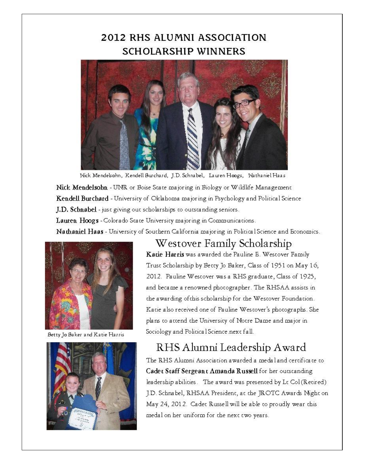# 2012 RHS ALUMNI ASSOCIATION **SCHOLARSHIP WINNERS**



Nick Mendelsohn, Kendell Burchard, J.D. Schnabel, Lauren Hoogs, Nathaniel Haas

Nick Mendelsohn - UNR or Boise State majoring in Biology or Wildlife Management Kendell Burchard - University of Oklahoma majoring in Psychology and Political Science J.D. Schnabel - just giving out scholarships to outstanding seniors.

Lauren Hoogs - Colorado State University majoring in Communications.

Nathaniel Haas - University of Southern California majoring in Political Science and Economics.



Betty Jo Baker and Katie Harris



Westover Family Scholarship Katie Harris was awarded the Pauline E. Westover Family Trust Scholarship by Betty Jo Baker, Class of 1951 on May 16, 2012. Pauline Westover was a RHS graduate, Class of 1925, and became a renowned photographer. The RHSAA assists in the awarding of this scholarship for the Westover Foundation. Katie also received one of Pauline Westover's photographs. She plans to attend the University of Notre Dame and major in Sociology and Political Science next fall.

# RHS Alumni Leadership Award

The RHS Alumni Association awarded a medal and certificate to Cadet Staff Sergeant Amanda Russell for her outstanding leadership abilities. The award was presented by Lt Col (Retired) J.D. Schnabel, RHSAA President, at the JROTC Awards Night on May 24, 2012. Cadet Russell will be able to proudly wear this medal on her uniform for the next two years.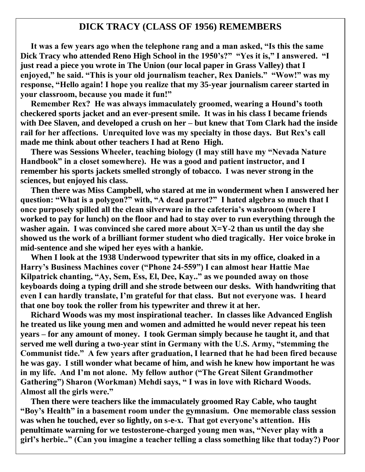#### **DICK TRACY (CLASS OF 1956) REMEMBERS**

 **It was a few years ago when the telephone rang and a man asked, "Is this the same Dick Tracy who attended Reno High School in the 1950's?" "Yes it is," I answered. "I just read a piece you wrote in The Union (our local paper in Grass Valley) that I enjoyed," he said. "This is your old journalism teacher, Rex Daniels." "Wow!" was my response, "Hello again! I hope you realize that my 35-year journalism career started in your classroom, because you made it fun!"** 

 **Remember Rex? He was always immaculately groomed, wearing a Hound's tooth checkered sports jacket and an ever-present smile. It was in his class I became friends with Dee Slaven, and developed a crush on her – but knew that Tom Clark had the inside rail for her affections. Unrequited love was my specialty in those days. But Rex's call made me think about other teachers I had at Reno High.**

 **There was Sessions Wheeler, teaching biology (I may still have my "Nevada Nature Handbook" in a closet somewhere). He was a good and patient instructor, and I remember his sports jackets smelled strongly of tobacco. I was never strong in the sciences, but enjoyed his class.**

 **Then there was Miss Campbell, who stared at me in wonderment when I answered her question: "What is a polygon?" with, "A dead parrot?" I hated algebra so much that I once purposely spilled all the clean silverware in the cafeteria's washroom (where I worked to pay for lunch) on the floor and had to stay over to run everything through the washer again. I was convinced she cared more about X=Y-2 than us until the day she showed us the work of a brilliant former student who died tragically. Her voice broke in mid-sentence and she wiped her eyes with a hankie.**

 **When I look at the 1938 Underwood typewriter that sits in my office, cloaked in a Harry's Business Machines cover ("Phone 24-559") I can almost hear Hattie Mae Kilpatrick chanting, "Ay, Sem, Ess, El, Dee, Kay.." as we pounded away on those keyboards doing a typing drill and she strode between our desks. With handwriting that even I can hardly translate, I'm grateful for that class. But not everyone was. I heard that one boy took the roller from his typewriter and threw it at her.**

 **Richard Woods was my most inspirational teacher. In classes like Advanced English he treated us like young men and women and admitted he would never repeat his teen years – for any amount of money. I took German simply because he taught it, and that served me well during a two-year stint in Germany with the U.S. Army, "stemming the Communist tide." A few years after graduation, I learned that he had been fired because he was gay. I still wonder what became of him, and wish he knew how important he was in my life. And I'm not alone. My fellow author ("The Great Silent Grandmother Gathering") Sharon (Workman) Mehdi says, " I was in love with Richard Woods. Almost all the girls were."**

 **Then there were teachers like the immaculately groomed Ray Cable, who taught "Boy's Health" in a basement room under the gymnasium. One memorable class session was when he touched, ever so lightly, on s-e-x. That got everyone's attention. His penultimate warning for we testosterone-charged young men was, "Never play with a girl's herbie.." (Can you imagine a teacher telling a class something like that today?) Poor**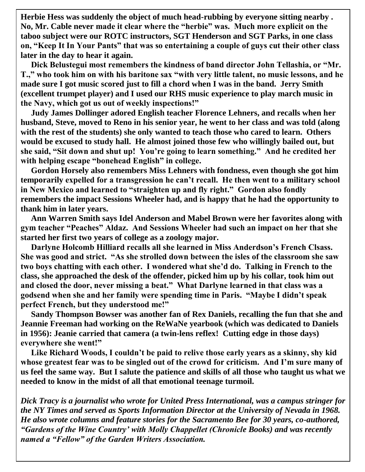**Herbie Hess was suddenly the object of much head-rubbing by everyone sitting nearby . No, Mr. Cable never made it clear where the "herbie" was. Much more explicit on the taboo subject were our ROTC instructors, SGT Henderson and SGT Parks, in one class on, "Keep It In Your Pants" that was so entertaining a couple of guys cut their other class later in the day to hear it again.**

 **Dick Belustegui most remembers the kindness of band director John Tellashia, or "Mr. T.," who took him on with his baritone sax "with very little talent, no music lessons, and he made sure I got music scored just to fill a chord when I was in the band. Jerry Smith (excellent trumpet player) and I used our RHS music experience to play march music in the Navy, which got us out of weekly inspections!"**

 **Judy James Dollinger adored English teacher Florence Lehners, and recalls when her husband, Steve, moved to Reno in his senior year, he went to her class and was told (along with the rest of the students) she only wanted to teach those who cared to learn. Others would be excused to study hall. He almost joined those few who willingly bailed out, but she said, "Sit down and shut up! You're going to learn something." And he credited her with helping escape "bonehead English" in college.**

 **Gordon Horsely also remembers Miss Lehners with fondness, even though she got him temporarily expelled for a transgression he can't recall. He then went to a military school in New Mexico and learned to "straighten up and fly right." Gordon also fondly remembers the impact Sessions Wheeler had, and is happy that he had the opportunity to thank him in later years.**

 **Ann Warren Smith says Idel Anderson and Mabel Brown were her favorites along with gym teacher "Peaches" Aldaz. And Sessions Wheeler had such an impact on her that she started her first two years of college as a zoology major.**

 **Darlyne Holcomb Hilliard recalls all she learned in Miss Anderdson's French Clsass. She was good and strict. "As she strolled down between the isles of the classroom she saw two boys chatting with each other. I wondered what she'd do. Talking in French to the class, she approached the desk of the offender, picked him up by his collar, took him out and closed the door, never missing a beat." What Darlyne learned in that class was a godsend when she and her family were spending time in Paris. "Maybe I didn't speak perfect French, but they understood me!"**

 **Sandy Thompson Bowser was another fan of Rex Daniels, recalling the fun that she and Jeannie Freeman had working on the ReWaNe yearbook (which was dedicated to Daniels in 1956): Jeanie carried that camera (a twin-lens reflex! Cutting edge in those days) everywhere she went!"**

 **Like Richard Woods, I couldn't be paid to relive those early years as a skinny, shy kid whose greatest fear was to be singled out of the crowd for criticism. And I'm sure many of us feel the same way. But I salute the patience and skills of all those who taught us what we needed to know in the midst of all that emotional teenage turmoil.**

*Dick Tracy is a journalist who wrote for United Press International, was a campus stringer for the NY Times and served as Sports Information Director at the University of Nevada in 1968. He also wrote columns and feature stories for the Sacramento Bee for 30 years, co-authored, "Gardens of the Wine Country' with Molly Chappellet (Chronicle Books) and was recently named a "Fellow" of the Garden Writers Association.*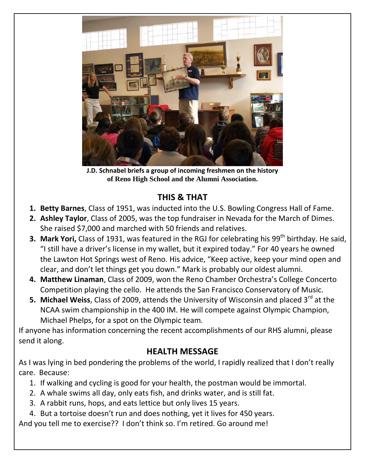

**J.D. Schnabel briefs a group of incoming freshmen on the history of Reno High School and the Alumni Association.**

### **THIS & THAT**

- **1. Betty Barnes**, Class of 1951, was inducted into the U.S. Bowling Congress Hall of Fame.
- **2. Ashley Taylor**, Class of 2005, was the top fundraiser in Nevada for the March of Dimes. She raised \$7,000 and marched with 50 friends and relatives.
- **3. Mark Yori,** Class of 1931, was featured in the RGJ for celebrating his 99<sup>th</sup> birthday. He said, "I still have a driver's license in my wallet, but it expired today." For 40 years he owned the Lawton Hot Springs west of Reno. His advice, "Keep active, keep your mind open and clear, and don't let things get you down." Mark is probably our oldest alumni.
- **4. Matthew Linaman**, Class of 2009, won the Reno Chamber Orchestra's College Concerto Competition playing the cello. He attends the San Francisco Conservatory of Music.
- **5. Michael Weiss**, Class of 2009, attends the University of Wisconsin and placed 3<sup>rd</sup> at the NCAA swim championship in the 400 IM. He will compete against Olympic Champion, Michael Phelps, for a spot on the Olympic team.

If anyone has information concerning the recent accomplishments of our RHS alumni, please send it along.

### **HEALTH MESSAGE**

As I was lying in bed pondering the problems of the world, I rapidly realized that I don't really care. Because:

- 1. If walking and cycling is good for your health, the postman would be immortal.
- 2. A whale swims all day, only eats fish, and drinks water, and is still fat.
- 3. A rabbit runs, hops, and eats lettice but only lives 15 years.
- 4. But a tortoise doesn't run and does nothing, yet it lives for 450 years.

And you tell me to exercise?? I don't think so. I'm retired. Go around me!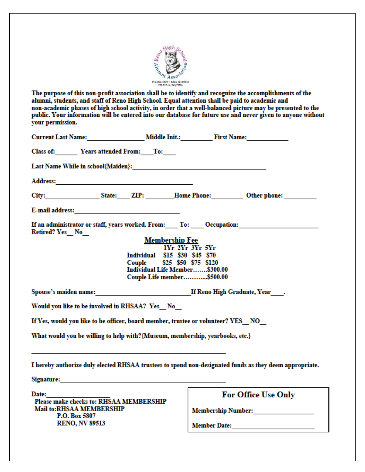

The purpose of this non-profit association shall be to identify and recognize the accomplishments of the alumni, students, and staff of Reno High School. Equal attention shall be paid to academic and non-academic phases of high school activity, in order that a well-balanced picture may be presented to the public. Your information will be entered into our database for future use and never given to anyone without your permission.

| <b>Current Last Name:</b> Middle Init.: First Name:                                                                                                                                                                            |                              |  |  |  |
|--------------------------------------------------------------------------------------------------------------------------------------------------------------------------------------------------------------------------------|------------------------------|--|--|--|
| Class of: Years attended From: To:                                                                                                                                                                                             |                              |  |  |  |
|                                                                                                                                                                                                                                |                              |  |  |  |
|                                                                                                                                                                                                                                |                              |  |  |  |
| City: State: ZIP: Home Phone: Other phone:                                                                                                                                                                                     |                              |  |  |  |
|                                                                                                                                                                                                                                |                              |  |  |  |
| If an administrator or staff, years worked. From: To: Occupation:<br>Retired? Yes No                                                                                                                                           |                              |  |  |  |
| <b>Membership Fee</b>                                                                                                                                                                                                          |                              |  |  |  |
| IYr 2Yr 3Yr 5Yr<br>Individual \$15 \$30 \$45 \$70                                                                                                                                                                              |                              |  |  |  |
| Couple \$25 \$50 \$75 \$120<br>Individual Life Member\$300.00                                                                                                                                                                  |                              |  |  |  |
| Couple Life member\$500.00                                                                                                                                                                                                     |                              |  |  |  |
|                                                                                                                                                                                                                                |                              |  |  |  |
| Would you like to be involved in RHSAA? Yes No                                                                                                                                                                                 |                              |  |  |  |
| If Yes, would you like to be officer, board member, trustee or volunteer? YES NO                                                                                                                                               |                              |  |  |  |
| What would you be willing to help with? {Museum, membership, yearbooks, etc.}                                                                                                                                                  |                              |  |  |  |
| I hereby authorize duly elected RHSAA trustees to spend non-designated funds as they deem appropriate.                                                                                                                         |                              |  |  |  |
| Signature: the contract of the contract of the contract of the contract of the contract of the contract of the contract of the contract of the contract of the contract of the contract of the contract of the contract of the |                              |  |  |  |
| Date:<br>Please make checks to: RHSAA MEMBERSHIP                                                                                                                                                                               | For Office Use Only          |  |  |  |
| <b>Mail to:RHSAA MEMBERSHIP</b>                                                                                                                                                                                                | <b>Membership Number:</b>    |  |  |  |
| P.O. Box 5807<br><b>RENO, NV 89513</b>                                                                                                                                                                                         | <b>Member Date:</b> No. 2014 |  |  |  |
|                                                                                                                                                                                                                                |                              |  |  |  |